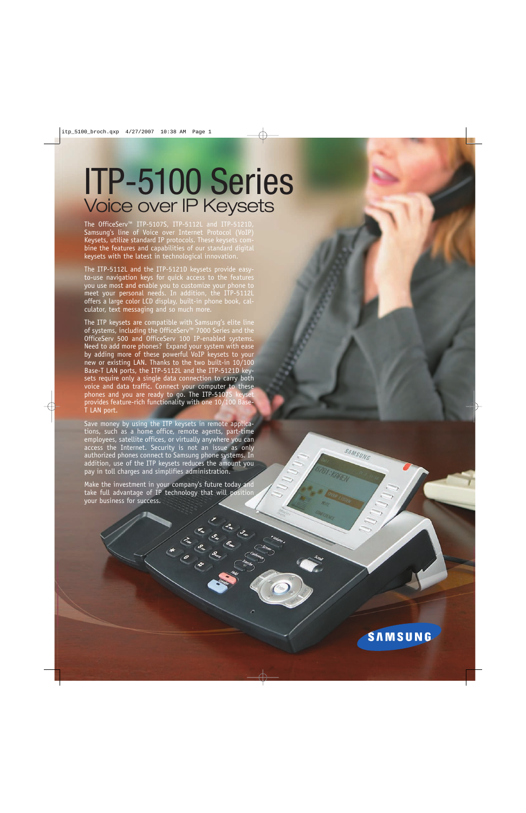## ITP-5100 Series Voice over IP Keysets

The OfficeServ™ ITP-5107S, ITP-5112L and ITP-5121D, Samsung's line of Voice over Internet Protocol (VoIP) Keysets, utilize standard IP protocols. These keysets combine the features and capabilities of our standard digital keysets with the latest in technological innovation.

The ITP-5112L and the ITP-5121D keysets provide easyto-use navigation keys for quick access to the features you use most and enable you to customize your phone to meet your personal needs. In addition, the ITP-5112L offers a large color LCD display, built-in phone book, calculator, text messaging and so much more.

The ITP keysets are compatible with Samsung's elite line of systems, including the OfficeServ™ 7000 Series and the OfficeServ 500 and OfficeServ 100 IP-enabled systems. Need to add more phones? Expand your system with ease by adding more of these powerful VoIP keysets to your new or existing LAN. Thanks to the two built-in 10/100 Base-T LAN ports, the ITP-5112L and the ITP-5121D keysets require only a single data connection to carry both voice and data traffic. Connect your computer to these phones and you are ready to go. The ITP-5107S keyset provides feature-rich functionality with one 10/100 Base-T LAN port.

Save money by using the ITP keysets in remote applications, such as a home office, remote agents, part-time employees, satellite offices, or virtually anywhere you can access the Internet. Security is not an issue as only authorized phones connect to Samsung phone systems. In addition, use of the ITP keysets reduces the amount you pay in toll charges and simplifies administration.

Make the investment in your company's future today and take full advantage of IP technology that will position your business for success.

In the Read

**SAMSUNG** 

SAMSUNG